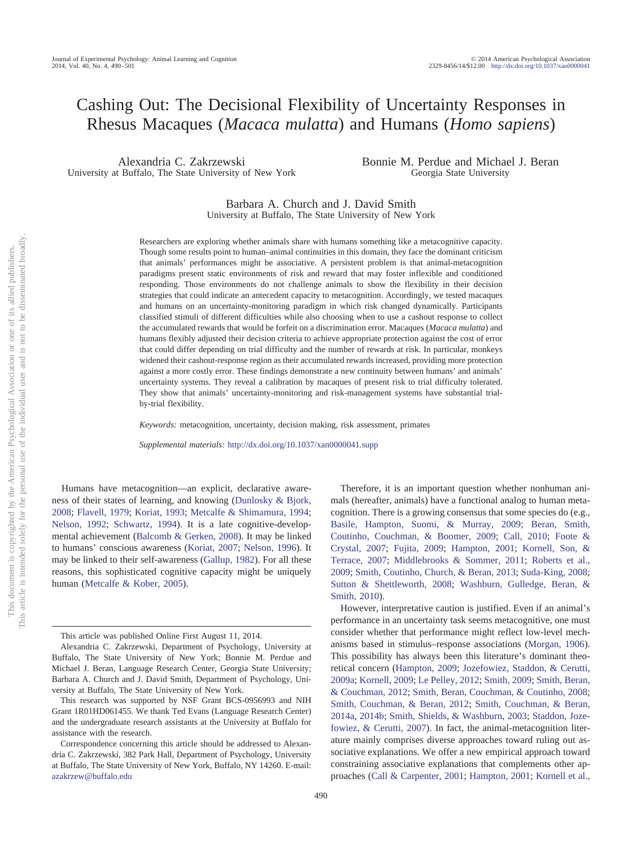# Cashing Out: The Decisional Flexibility of Uncertainty Responses in Rhesus Macaques (*Macaca mulatta*) and Humans (*Homo sapiens*)

Alexandria C. Zakrzewski University at Buffalo, The State University of New York Bonnie M. Perdue and Michael J. Beran Georgia State University

Barbara A. Church and J. David Smith University at Buffalo, The State University of New York

Researchers are exploring whether animals share with humans something like a metacognitive capacity. Though some results point to human–animal continuities in this domain, they face the dominant criticism that animals' performances might be associative. A persistent problem is that animal-metacognition paradigms present static environments of risk and reward that may foster inflexible and conditioned responding. Those environments do not challenge animals to show the flexibility in their decision strategies that could indicate an antecedent capacity to metacognition. Accordingly, we tested macaques and humans on an uncertainty-monitoring paradigm in which risk changed dynamically. Participants classified stimuli of different difficulties while also choosing when to use a cashout response to collect the accumulated rewards that would be forfeit on a discrimination error. Macaques (*Macaca mulatta*) and humans flexibly adjusted their decision criteria to achieve appropriate protection against the cost of error that could differ depending on trial difficulty and the number of rewards at risk. In particular, monkeys widened their cashout-response region as their accumulated rewards increased, providing more protection against a more costly error. These findings demonstrate a new continuity between humans' and animals' uncertainty systems. They reveal a calibration by macaques of present risk to trial difficulty tolerated. They show that animals' uncertainty-monitoring and risk-management systems have substantial trialby-trial flexibility.

*Keywords:* metacognition, uncertainty, decision making, risk assessment, primates

*Supplemental materials:* http://dx.doi.org[/10.1037/xan0000041.supp](http://dx.doi.org/10.1037/xan0000041.supp)

Humans have metacognition—an explicit, declarative awareness of their states of learning, and knowing [\(Dunlosky & Bjork,](#page-9-0) [2008;](#page-9-0) [Flavell, 1979;](#page-10-0) [Koriat, 1993;](#page-10-1) [Metcalfe & Shimamura, 1994;](#page-10-2) [Nelson, 1992;](#page-10-3) [Schwartz, 1994\)](#page-10-4). It is a late cognitive-developmental achievement [\(Balcomb & Gerken, 2008\)](#page-9-1). It may be linked to humans' conscious awareness [\(Koriat, 2007;](#page-10-5) [Nelson, 1996\)](#page-10-6). It may be linked to their self-awareness [\(Gallup, 1982\)](#page-10-7). For all these reasons, this sophisticated cognitive capacity might be uniquely human [\(Metcalfe & Kober, 2005\)](#page-10-8).

490

Therefore, it is an important question whether nonhuman animals (hereafter, animals) have a functional analog to human metacognition. There is a growing consensus that some species do (e.g., [Basile, Hampton, Suomi, & Murray, 2009;](#page-9-2) [Beran, Smith,](#page-9-3) [Coutinho, Couchman, & Boomer, 2009;](#page-9-3) [Call, 2010;](#page-9-4) [Foote &](#page-10-9) [Crystal, 2007;](#page-10-9) [Fujita, 2009;](#page-10-10) [Hampton, 2001;](#page-10-11) [Kornell, Son, &](#page-10-12) [Terrace, 2007;](#page-10-12) [Middlebrooks & Sommer, 2011;](#page-10-13) [Roberts et al.,](#page-10-14) [2009;](#page-10-14) [Smith, Coutinho, Church, & Beran, 2013;](#page-11-0) [Suda-King, 2008;](#page-11-1) [Sutton & Shettleworth, 2008;](#page-11-2) [Washburn, Gulledge, Beran, &](#page-11-3) [Smith, 2010\)](#page-11-3).

However, interpretative caution is justified. Even if an animal's performance in an uncertainty task seems metacognitive, one must consider whether that performance might reflect low-level mechanisms based in stimulus–response associations [\(Morgan, 1906\)](#page-10-15). This possibility has always been this literature's dominant theoretical concern [\(Hampton, 2009;](#page-10-16) [Jozefowiez, Staddon, & Cerutti,](#page-10-17) [2009a;](#page-10-17) [Kornell, 2009;](#page-10-18) [Le Pelley, 2012;](#page-10-19) [Smith, 2009;](#page-10-20) [Smith, Beran,](#page-10-21) [& Couchman, 2012;](#page-10-21) [Smith, Beran, Couchman, & Coutinho, 2008;](#page-10-22) [Smith, Couchman, & Beran, 2012;](#page-10-23) [Smith, Couchman, & Beran,](#page-10-24) [2014a,](#page-10-24) [2014b;](#page-11-4) [Smith, Shields, & Washburn, 2003;](#page-11-5) [Staddon, Joze](#page-11-6)[fowiez, & Cerutti, 2007\)](#page-11-6). In fact, the animal-metacognition literature mainly comprises diverse approaches toward ruling out associative explanations. We offer a new empirical approach toward constraining associative explanations that complements other approaches [\(Call & Carpenter, 2001;](#page-9-5) [Hampton, 2001;](#page-10-11) [Kornell et al.,](#page-10-12)

This article was published Online First August 11, 2014.

Alexandria C. Zakrzewski, Department of Psychology, University at Buffalo, The State University of New York; Bonnie M. Perdue and Michael J. Beran, Language Research Center, Georgia State University; Barbara A. Church and J. David Smith, Department of Psychology, University at Buffalo, The State University of New York.

This research was supported by NSF Grant BCS-0956993 and NIH Grant 1R01HD061455. We thank Ted Evans (Language Research Center) and the undergraduate research assistants at the University at Buffalo for assistance with the research.

Correspondence concerning this article should be addressed to Alexandria C. Zakrzewski, 382 Park Hall, Department of Psychology, University at Buffalo, The State University of New York, Buffalo, NY 14260. E-mail: [azakrzew@buffalo.edu](mailto:azakrzew@buffalo.edu)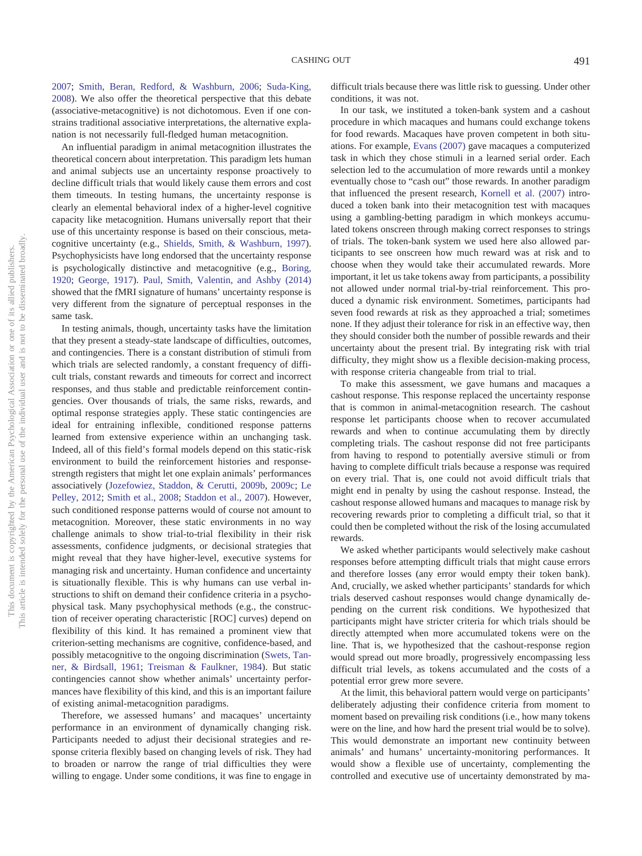[2007;](#page-10-12) [Smith, Beran, Redford, & Washburn, 2006;](#page-10-25) [Suda-King,](#page-11-1) [2008\)](#page-11-1). We also offer the theoretical perspective that this debate (associative-metacognitive) is not dichotomous. Even if one constrains traditional associative interpretations, the alternative explanation is not necessarily full-fledged human metacognition.

An influential paradigm in animal metacognition illustrates the theoretical concern about interpretation. This paradigm lets human and animal subjects use an uncertainty response proactively to decline difficult trials that would likely cause them errors and cost them timeouts. In testing humans, the uncertainty response is clearly an elemental behavioral index of a higher-level cognitive capacity like metacognition. Humans universally report that their use of this uncertainty response is based on their conscious, metacognitive uncertainty (e.g., [Shields, Smith, & Washburn, 1997\)](#page-10-26). Psychophysicists have long endorsed that the uncertainty response is psychologically distinctive and metacognitive (e.g., [Boring,](#page-9-6) [1920;](#page-9-6) [George, 1917\)](#page-10-27). [Paul, Smith, Valentin, and Ashby \(2014\)](#page-10-28) showed that the fMRI signature of humans' uncertainty response is very different from the signature of perceptual responses in the same task.

In testing animals, though, uncertainty tasks have the limitation that they present a steady-state landscape of difficulties, outcomes, and contingencies. There is a constant distribution of stimuli from which trials are selected randomly, a constant frequency of difficult trials, constant rewards and timeouts for correct and incorrect responses, and thus stable and predictable reinforcement contingencies. Over thousands of trials, the same risks, rewards, and optimal response strategies apply. These static contingencies are ideal for entraining inflexible, conditioned response patterns learned from extensive experience within an unchanging task. Indeed, all of this field's formal models depend on this static-risk environment to build the reinforcement histories and responsestrength registers that might let one explain animals' performances associatively [\(Jozefowiez, Staddon, & Cerutti, 2009b,](#page-10-29) [2009c;](#page-10-30) [Le](#page-10-19) [Pelley, 2012;](#page-10-19) [Smith et al., 2008;](#page-10-22) [Staddon et al., 2007\)](#page-11-6). However, such conditioned response patterns would of course not amount to metacognition. Moreover, these static environments in no way challenge animals to show trial-to-trial flexibility in their risk assessments, confidence judgments, or decisional strategies that might reveal that they have higher-level, executive systems for managing risk and uncertainty. Human confidence and uncertainty is situationally flexible. This is why humans can use verbal instructions to shift on demand their confidence criteria in a psychophysical task. Many psychophysical methods (e.g., the construction of receiver operating characteristic [ROC] curves) depend on flexibility of this kind. It has remained a prominent view that criterion-setting mechanisms are cognitive, confidence-based, and possibly metacognitive to the ongoing discrimination [\(Swets, Tan](#page-11-7)[ner, & Birdsall, 1961;](#page-11-7) [Treisman & Faulkner, 1984\)](#page-11-8). But static contingencies cannot show whether animals' uncertainty performances have flexibility of this kind, and this is an important failure of existing animal-metacognition paradigms.

Therefore, we assessed humans' and macaques' uncertainty performance in an environment of dynamically changing risk. Participants needed to adjust their decisional strategies and response criteria flexibly based on changing levels of risk. They had to broaden or narrow the range of trial difficulties they were willing to engage. Under some conditions, it was fine to engage in difficult trials because there was little risk to guessing. Under other conditions, it was not.

In our task, we instituted a token-bank system and a cashout procedure in which macaques and humans could exchange tokens for food rewards. Macaques have proven competent in both situations. For example, [Evans \(2007\)](#page-9-7) gave macaques a computerized task in which they chose stimuli in a learned serial order. Each selection led to the accumulation of more rewards until a monkey eventually chose to "cash out" those rewards. In another paradigm that influenced the present research, [Kornell et al. \(2007\)](#page-10-12) introduced a token bank into their metacognition test with macaques using a gambling-betting paradigm in which monkeys accumulated tokens onscreen through making correct responses to strings of trials. The token-bank system we used here also allowed participants to see onscreen how much reward was at risk and to choose when they would take their accumulated rewards. More important, it let us take tokens away from participants, a possibility not allowed under normal trial-by-trial reinforcement. This produced a dynamic risk environment. Sometimes, participants had seven food rewards at risk as they approached a trial; sometimes none. If they adjust their tolerance for risk in an effective way, then they should consider both the number of possible rewards and their uncertainty about the present trial. By integrating risk with trial difficulty, they might show us a flexible decision-making process, with response criteria changeable from trial to trial.

To make this assessment, we gave humans and macaques a cashout response. This response replaced the uncertainty response that is common in animal-metacognition research. The cashout response let participants choose when to recover accumulated rewards and when to continue accumulating them by directly completing trials. The cashout response did not free participants from having to respond to potentially aversive stimuli or from having to complete difficult trials because a response was required on every trial. That is, one could not avoid difficult trials that might end in penalty by using the cashout response. Instead, the cashout response allowed humans and macaques to manage risk by recovering rewards prior to completing a difficult trial, so that it could then be completed without the risk of the losing accumulated rewards.

We asked whether participants would selectively make cashout responses before attempting difficult trials that might cause errors and therefore losses (any error would empty their token bank). And, crucially, we asked whether participants' standards for which trials deserved cashout responses would change dynamically depending on the current risk conditions. We hypothesized that participants might have stricter criteria for which trials should be directly attempted when more accumulated tokens were on the line. That is, we hypothesized that the cashout-response region would spread out more broadly, progressively encompassing less difficult trial levels, as tokens accumulated and the costs of a potential error grew more severe.

At the limit, this behavioral pattern would verge on participants' deliberately adjusting their confidence criteria from moment to moment based on prevailing risk conditions (i.e., how many tokens were on the line, and how hard the present trial would be to solve). This would demonstrate an important new continuity between animals' and humans' uncertainty-monitoring performances. It would show a flexible use of uncertainty, complementing the controlled and executive use of uncertainty demonstrated by ma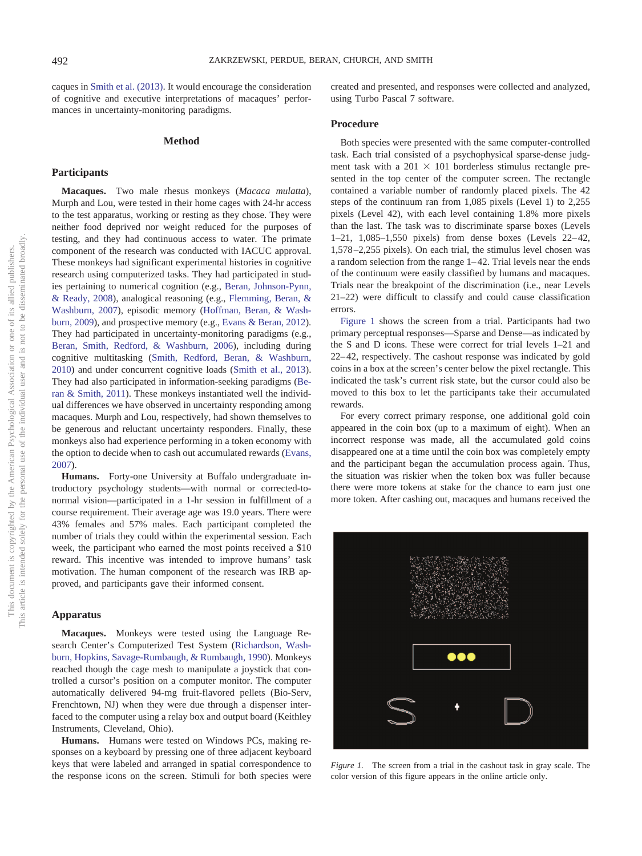caques in [Smith et al. \(2013\).](#page-11-0) It would encourage the consideration of cognitive and executive interpretations of macaques' performances in uncertainty-monitoring paradigms.

#### **Method**

# **Participants**

**Macaques.** Two male rhesus monkeys (*Macaca mulatta*), Murph and Lou, were tested in their home cages with 24-hr access to the test apparatus, working or resting as they chose. They were neither food deprived nor weight reduced for the purposes of testing, and they had continuous access to water. The primate component of the research was conducted with IACUC approval. These monkeys had significant experimental histories in cognitive research using computerized tasks. They had participated in studies pertaining to numerical cognition (e.g., [Beran, Johnson-Pynn,](#page-9-8) [& Ready, 2008\)](#page-9-8), analogical reasoning (e.g., [Flemming, Beran, &](#page-10-31) [Washburn, 2007\)](#page-10-31), episodic memory [\(Hoffman, Beran, & Wash](#page-10-32)[burn, 2009\)](#page-10-32), and prospective memory (e.g., [Evans & Beran, 2012\)](#page-9-9). They had participated in uncertainty-monitoring paradigms (e.g., [Beran, Smith, Redford, & Washburn, 2006\)](#page-9-10), including during cognitive multitasking [\(Smith, Redford, Beran, & Washburn,](#page-11-9) [2010\)](#page-11-9) and under concurrent cognitive loads [\(Smith et al., 2013\)](#page-11-0). They had also participated in information-seeking paradigms [\(Be](#page-9-11)[ran & Smith, 2011\)](#page-9-11). These monkeys instantiated well the individual differences we have observed in uncertainty responding among macaques. Murph and Lou, respectively, had shown themselves to be generous and reluctant uncertainty responders. Finally, these monkeys also had experience performing in a token economy with the option to decide when to cash out accumulated rewards [\(Evans,](#page-9-7) [2007\)](#page-9-7).

**Humans.** Forty-one University at Buffalo undergraduate introductory psychology students—with normal or corrected-tonormal vision—participated in a 1-hr session in fulfillment of a course requirement. Their average age was 19.0 years. There were 43% females and 57% males. Each participant completed the number of trials they could within the experimental session. Each week, the participant who earned the most points received a \$10 reward. This incentive was intended to improve humans' task motivation. The human component of the research was IRB approved, and participants gave their informed consent.

#### **Apparatus**

**Macaques.** Monkeys were tested using the Language Research Center's Computerized Test System [\(Richardson, Wash](#page-10-33)[burn, Hopkins, Savage-Rumbaugh, & Rumbaugh, 1990\)](#page-10-33). Monkeys reached though the cage mesh to manipulate a joystick that controlled a cursor's position on a computer monitor. The computer automatically delivered 94-mg fruit-flavored pellets (Bio-Serv, Frenchtown, NJ) when they were due through a dispenser interfaced to the computer using a relay box and output board (Keithley Instruments, Cleveland, Ohio).

**Humans.** Humans were tested on Windows PCs, making responses on a keyboard by pressing one of three adjacent keyboard keys that were labeled and arranged in spatial correspondence to the response icons on the screen. Stimuli for both species were created and presented, and responses were collected and analyzed, using Turbo Pascal 7 software.

# **Procedure**

Both species were presented with the same computer-controlled task. Each trial consisted of a psychophysical sparse-dense judgment task with a  $201 \times 101$  borderless stimulus rectangle presented in the top center of the computer screen. The rectangle contained a variable number of randomly placed pixels. The 42 steps of the continuum ran from 1,085 pixels (Level 1) to 2,255 pixels (Level 42), with each level containing 1.8% more pixels than the last. The task was to discriminate sparse boxes (Levels 1–21, 1,085–1,550 pixels) from dense boxes (Levels 22– 42, 1,578 –2,255 pixels). On each trial, the stimulus level chosen was a random selection from the range 1– 42. Trial levels near the ends of the continuum were easily classified by humans and macaques. Trials near the breakpoint of the discrimination (i.e., near Levels 21–22) were difficult to classify and could cause classification errors.

[Figure 1](#page-2-0) shows the screen from a trial. Participants had two primary perceptual responses—Sparse and Dense—as indicated by the S and D icons. These were correct for trial levels 1–21 and 22– 42, respectively. The cashout response was indicated by gold coins in a box at the screen's center below the pixel rectangle. This indicated the task's current risk state, but the cursor could also be moved to this box to let the participants take their accumulated rewards.

For every correct primary response, one additional gold coin appeared in the coin box (up to a maximum of eight). When an incorrect response was made, all the accumulated gold coins disappeared one at a time until the coin box was completely empty and the participant began the accumulation process again. Thus, the situation was riskier when the token box was fuller because there were more tokens at stake for the chance to earn just one more token. After cashing out, macaques and humans received the



<span id="page-2-0"></span>*Figure 1.* The screen from a trial in the cashout task in gray scale. The color version of this figure appears in the online article only.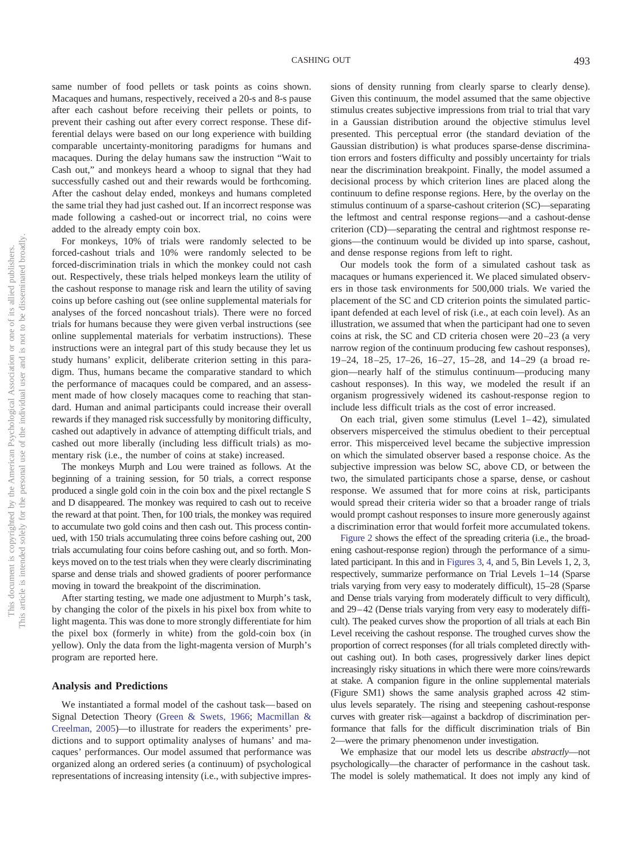same number of food pellets or task points as coins shown. Macaques and humans, respectively, received a 20-s and 8-s pause after each cashout before receiving their pellets or points, to prevent their cashing out after every correct response. These differential delays were based on our long experience with building comparable uncertainty-monitoring paradigms for humans and macaques. During the delay humans saw the instruction "Wait to Cash out," and monkeys heard a whoop to signal that they had successfully cashed out and their rewards would be forthcoming. After the cashout delay ended, monkeys and humans completed the same trial they had just cashed out. If an incorrect response was made following a cashed-out or incorrect trial, no coins were added to the already empty coin box.

For monkeys, 10% of trials were randomly selected to be forced-cashout trials and 10% were randomly selected to be forced-discrimination trials in which the monkey could not cash out. Respectively, these trials helped monkeys learn the utility of the cashout response to manage risk and learn the utility of saving coins up before cashing out (see online supplemental materials for analyses of the forced noncashout trials). There were no forced trials for humans because they were given verbal instructions (see online supplemental materials for verbatim instructions). These instructions were an integral part of this study because they let us study humans' explicit, deliberate criterion setting in this paradigm. Thus, humans became the comparative standard to which the performance of macaques could be compared, and an assessment made of how closely macaques come to reaching that standard. Human and animal participants could increase their overall rewards if they managed risk successfully by monitoring difficulty, cashed out adaptively in advance of attempting difficult trials, and cashed out more liberally (including less difficult trials) as momentary risk (i.e., the number of coins at stake) increased.

The monkeys Murph and Lou were trained as follows. At the beginning of a training session, for 50 trials, a correct response produced a single gold coin in the coin box and the pixel rectangle S and D disappeared. The monkey was required to cash out to receive the reward at that point. Then, for 100 trials, the monkey was required to accumulate two gold coins and then cash out. This process continued, with 150 trials accumulating three coins before cashing out, 200 trials accumulating four coins before cashing out, and so forth. Monkeys moved on to the test trials when they were clearly discriminating sparse and dense trials and showed gradients of poorer performance moving in toward the breakpoint of the discrimination.

After starting testing, we made one adjustment to Murph's task, by changing the color of the pixels in his pixel box from white to light magenta. This was done to more strongly differentiate for him the pixel box (formerly in white) from the gold-coin box (in yellow). Only the data from the light-magenta version of Murph's program are reported here.

#### **Analysis and Predictions**

We instantiated a formal model of the cashout task— based on Signal Detection Theory [\(Green & Swets, 1966;](#page-10-34) [Macmillan &](#page-10-35) [Creelman, 2005\)](#page-10-35)—to illustrate for readers the experiments' predictions and to support optimality analyses of humans' and macaques' performances. Our model assumed that performance was organized along an ordered series (a continuum) of psychological representations of increasing intensity (i.e., with subjective impressions of density running from clearly sparse to clearly dense). Given this continuum, the model assumed that the same objective stimulus creates subjective impressions from trial to trial that vary in a Gaussian distribution around the objective stimulus level presented. This perceptual error (the standard deviation of the Gaussian distribution) is what produces sparse-dense discrimination errors and fosters difficulty and possibly uncertainty for trials near the discrimination breakpoint. Finally, the model assumed a decisional process by which criterion lines are placed along the continuum to define response regions. Here, by the overlay on the stimulus continuum of a sparse-cashout criterion (SC)—separating the leftmost and central response regions—and a cashout-dense criterion (CD)—separating the central and rightmost response regions—the continuum would be divided up into sparse, cashout, and dense response regions from left to right.

Our models took the form of a simulated cashout task as macaques or humans experienced it. We placed simulated observers in those task environments for 500,000 trials. We varied the placement of the SC and CD criterion points the simulated participant defended at each level of risk (i.e., at each coin level). As an illustration, we assumed that when the participant had one to seven coins at risk, the SC and CD criteria chosen were 20 –23 (a very narrow region of the continuum producing few cashout responses), 19 –24, 18 –25, 17–26, 16 –27, 15–28, and 14 –29 (a broad region—nearly half of the stimulus continuum—producing many cashout responses). In this way, we modeled the result if an organism progressively widened its cashout-response region to include less difficult trials as the cost of error increased.

On each trial, given some stimulus (Level  $1-42$ ), simulated observers misperceived the stimulus obedient to their perceptual error. This misperceived level became the subjective impression on which the simulated observer based a response choice. As the subjective impression was below SC, above CD, or between the two, the simulated participants chose a sparse, dense, or cashout response. We assumed that for more coins at risk, participants would spread their criteria wider so that a broader range of trials would prompt cashout responses to insure more generously against a discrimination error that would forfeit more accumulated tokens.

[Figure 2](#page-4-0) shows the effect of the spreading criteria (i.e., the broadening cashout-response region) through the performance of a simulated participant. In this and in [Figures 3,](#page-4-1) [4,](#page-4-2) and [5,](#page-5-0) Bin Levels 1, 2, 3, respectively, summarize performance on Trial Levels 1–14 (Sparse trials varying from very easy to moderately difficult), 15–28 (Sparse and Dense trials varying from moderately difficult to very difficult), and 29 – 42 (Dense trials varying from very easy to moderately difficult). The peaked curves show the proportion of all trials at each Bin Level receiving the cashout response. The troughed curves show the proportion of correct responses (for all trials completed directly without cashing out). In both cases, progressively darker lines depict increasingly risky situations in which there were more coins/rewards at stake. A companion figure in the online supplemental materials (Figure SM1) shows the same analysis graphed across 42 stimulus levels separately. The rising and steepening cashout-response curves with greater risk—against a backdrop of discrimination performance that falls for the difficult discrimination trials of Bin 2—were the primary phenomenon under investigation.

We emphasize that our model lets us describe *abstractly*—not psychologically—the character of performance in the cashout task. The model is solely mathematical. It does not imply any kind of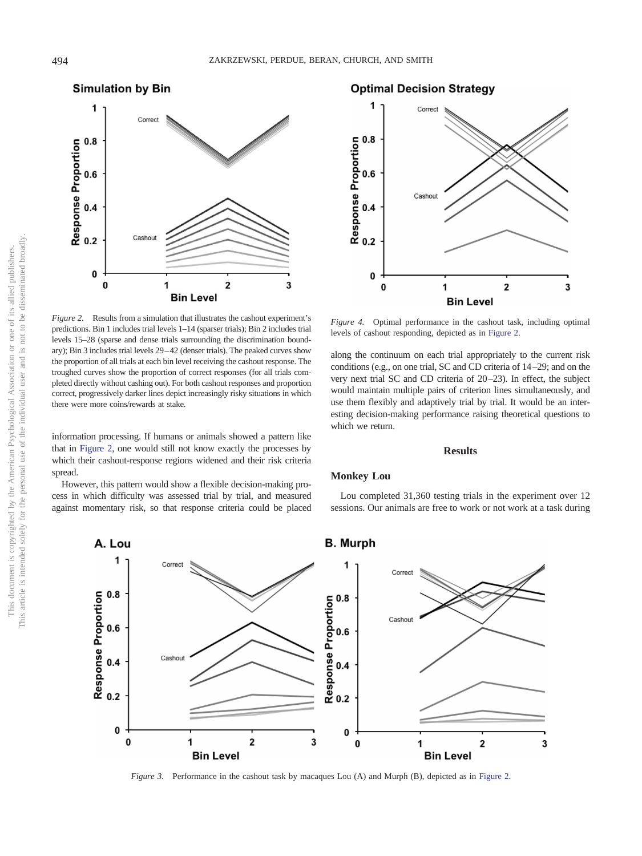

<span id="page-4-0"></span>*Figure 2.* Results from a simulation that illustrates the cashout experiment's predictions. Bin 1 includes trial levels 1–14 (sparser trials); Bin 2 includes trial levels 15–28 (sparse and dense trials surrounding the discrimination boundary); Bin 3 includes trial levels 29 – 42 (denser trials). The peaked curves show the proportion of all trials at each bin level receiving the cashout response. The troughed curves show the proportion of correct responses (for all trials completed directly without cashing out). For both cashout responses and proportion correct, progressively darker lines depict increasingly risky situations in which there were more coins/rewards at stake.

information processing. If humans or animals showed a pattern like that in [Figure 2,](#page-4-0) one would still not know exactly the processes by which their cashout-response regions widened and their risk criteria spread.

However, this pattern would show a flexible decision-making process in which difficulty was assessed trial by trial, and measured against momentary risk, so that response criteria could be placed





<span id="page-4-2"></span>*Figure 4.* Optimal performance in the cashout task, including optimal levels of cashout responding, depicted as in [Figure 2.](#page-4-0)

along the continuum on each trial appropriately to the current risk conditions (e.g., on one trial, SC and CD criteria of 14 –29; and on the very next trial SC and CD criteria of 20–23). In effect, the subject would maintain multiple pairs of criterion lines simultaneously, and use them flexibly and adaptively trial by trial. It would be an interesting decision-making performance raising theoretical questions to which we return.

## **Results**

## **Monkey Lou**

Lou completed 31,360 testing trials in the experiment over 12 sessions. Our animals are free to work or not work at a task during



<span id="page-4-1"></span>*Figure 3.* Performance in the cashout task by macaques Lou (A) and Murph (B), depicted as in [Figure 2.](#page-4-0)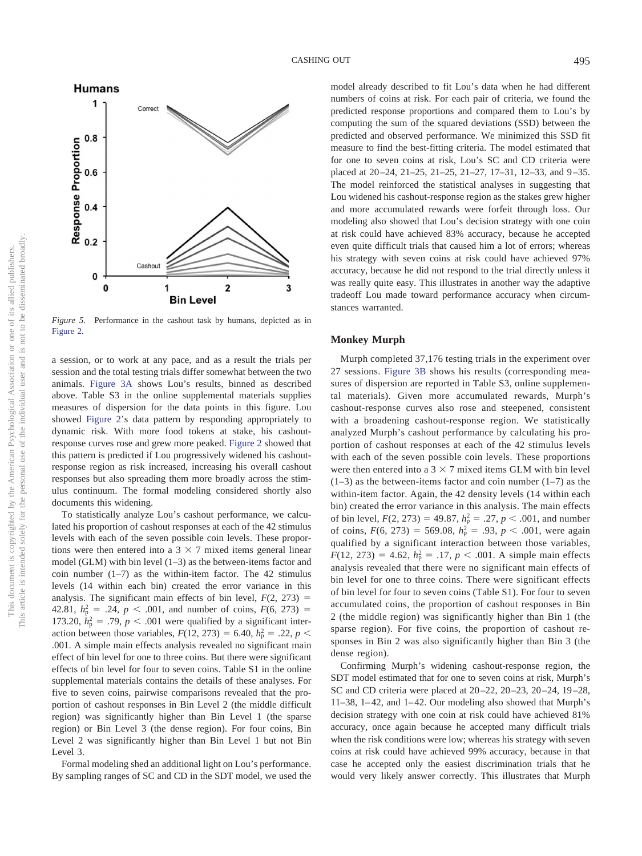

<span id="page-5-0"></span>*Figure 5.* Performance in the cashout task by humans, depicted as in [Figure 2.](#page-4-0)

a session, or to work at any pace, and as a result the trials per session and the total testing trials differ somewhat between the two animals. [Figure 3A](#page-4-1) shows Lou's results, binned as described above. Table S3 in the online supplemental materials supplies measures of dispersion for the data points in this figure. Lou showed [Figure 2'](#page-4-0)s data pattern by responding appropriately to dynamic risk. With more food tokens at stake, his cashoutresponse curves rose and grew more peaked. [Figure 2](#page-4-0) showed that this pattern is predicted if Lou progressively widened his cashoutresponse region as risk increased, increasing his overall cashout responses but also spreading them more broadly across the stimulus continuum. The formal modeling considered shortly also documents this widening.

To statistically analyze Lou's cashout performance, we calculated his proportion of cashout responses at each of the 42 stimulus levels with each of the seven possible coin levels. These proportions were then entered into a  $3 \times 7$  mixed items general linear model (GLM) with bin level  $(1-3)$  as the between-items factor and coin number  $(1-7)$  as the within-item factor. The 42 stimulus levels (14 within each bin) created the error variance in this analysis. The significant main effects of bin level,  $F(2, 273) =$ 42.81,  $h_p^2 = .24$ ,  $p < .001$ , and number of coins,  $F(6, 273) =$ 173.20,  $h_p^2 = .79$ ,  $p < .001$  were qualified by a significant interaction between those variables,  $F(12, 273) = 6.40$ ,  $h_p^2 = .22$ ,  $p <$ .001. A simple main effects analysis revealed no significant main effect of bin level for one to three coins. But there were significant effects of bin level for four to seven coins. Table S1 in the online supplemental materials contains the details of these analyses. For five to seven coins, pairwise comparisons revealed that the proportion of cashout responses in Bin Level 2 (the middle difficult region) was significantly higher than Bin Level 1 (the sparse region) or Bin Level 3 (the dense region). For four coins, Bin Level 2 was significantly higher than Bin Level 1 but not Bin Level 3.

Formal modeling shed an additional light on Lou's performance. By sampling ranges of SC and CD in the SDT model, we used the model already described to fit Lou's data when he had different numbers of coins at risk. For each pair of criteria, we found the predicted response proportions and compared them to Lou's by computing the sum of the squared deviations (SSD) between the predicted and observed performance. We minimized this SSD fit measure to find the best-fitting criteria. The model estimated that for one to seven coins at risk, Lou's SC and CD criteria were placed at 20 –24, 21–25, 21–25, 21–27, 17–31, 12–33, and 9 –35. The model reinforced the statistical analyses in suggesting that Lou widened his cashout-response region as the stakes grew higher and more accumulated rewards were forfeit through loss. Our modeling also showed that Lou's decision strategy with one coin at risk could have achieved 83% accuracy, because he accepted even quite difficult trials that caused him a lot of errors; whereas his strategy with seven coins at risk could have achieved 97% accuracy, because he did not respond to the trial directly unless it was really quite easy. This illustrates in another way the adaptive tradeoff Lou made toward performance accuracy when circumstances warranted.

# **Monkey Murph**

Murph completed 37,176 testing trials in the experiment over 27 sessions. [Figure 3B](#page-4-1) shows his results (corresponding measures of dispersion are reported in Table S3, online supplemental materials). Given more accumulated rewards, Murph's cashout-response curves also rose and steepened, consistent with a broadening cashout-response region. We statistically analyzed Murph's cashout performance by calculating his proportion of cashout responses at each of the 42 stimulus levels with each of the seven possible coin levels. These proportions were then entered into a  $3 \times 7$  mixed items GLM with bin level  $(1-3)$  as the between-items factor and coin number  $(1-7)$  as the within-item factor. Again, the 42 density levels (14 within each bin) created the error variance in this analysis. The main effects of bin level,  $F(2, 273) = 49.87$ ,  $h_p^2 = .27$ ,  $p < .001$ , and number of coins,  $F(6, 273) = 569.08$ ,  $h_p^2 = .93$ ,  $p < .001$ , were again qualified by a significant interaction between those variables,  $F(12, 273) = 4.62$ ,  $h_p^2 = .17$ ,  $p < .001$ . A simple main effects analysis revealed that there were no significant main effects of bin level for one to three coins. There were significant effects of bin level for four to seven coins (Table S1). For four to seven accumulated coins, the proportion of cashout responses in Bin 2 (the middle region) was significantly higher than Bin 1 (the sparse region). For five coins, the proportion of cashout responses in Bin 2 was also significantly higher than Bin 3 (the dense region).

Confirming Murph's widening cashout-response region, the SDT model estimated that for one to seven coins at risk, Murph's SC and CD criteria were placed at 20 –22, 20 –23, 20 –24, 19 –28,  $11-38$ ,  $1-42$ , and  $1-42$ . Our modeling also showed that Murph's decision strategy with one coin at risk could have achieved 81% accuracy, once again because he accepted many difficult trials when the risk conditions were low; whereas his strategy with seven coins at risk could have achieved 99% accuracy, because in that case he accepted only the easiest discrimination trials that he would very likely answer correctly. This illustrates that Murph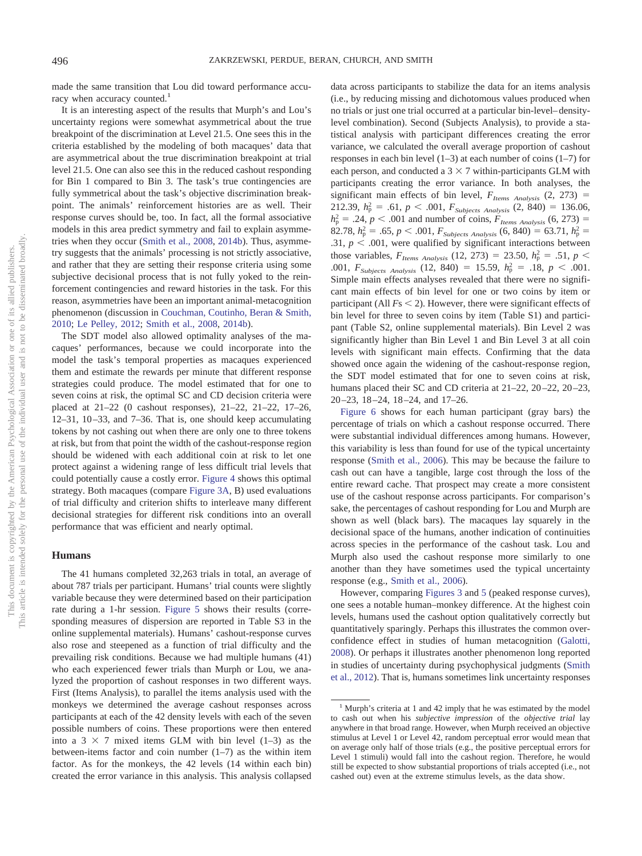made the same transition that Lou did toward performance accuracy when accuracy counted.<sup>1</sup>

It is an interesting aspect of the results that Murph's and Lou's uncertainty regions were somewhat asymmetrical about the true breakpoint of the discrimination at Level 21.5. One sees this in the criteria established by the modeling of both macaques' data that are asymmetrical about the true discrimination breakpoint at trial level 21.5. One can also see this in the reduced cashout responding for Bin 1 compared to Bin 3. The task's true contingencies are fully symmetrical about the task's objective discrimination breakpoint. The animals' reinforcement histories are as well. Their response curves should be, too. In fact, all the formal associative models in this area predict symmetry and fail to explain asymmetries when they occur [\(Smith et al., 2008,](#page-10-22) [2014b\)](#page-11-4). Thus, asymmetry suggests that the animals' processing is not strictly associative, and rather that they are setting their response criteria using some subjective decisional process that is not fully yoked to the reinforcement contingencies and reward histories in the task. For this reason, asymmetries have been an important animal-metacognition phenomenon (discussion in [Couchman, Coutinho, Beran & Smith,](#page-9-12) [2010;](#page-9-12) [Le Pelley, 2012;](#page-10-19) [Smith et al., 2008,](#page-10-22) [2014b\)](#page-11-4).

The SDT model also allowed optimality analyses of the macaques' performances, because we could incorporate into the model the task's temporal properties as macaques experienced them and estimate the rewards per minute that different response strategies could produce. The model estimated that for one to seven coins at risk, the optimal SC and CD decision criteria were placed at 21–22 (0 cashout responses), 21–22, 21–22, 17–26,  $12-31$ ,  $10-33$ , and  $7-36$ . That is, one should keep accumulating tokens by not cashing out when there are only one to three tokens at risk, but from that point the width of the cashout-response region should be widened with each additional coin at risk to let one protect against a widening range of less difficult trial levels that could potentially cause a costly error. [Figure 4](#page-4-2) shows this optimal strategy. Both macaques (compare [Figure 3A,](#page-4-1) B) used evaluations of trial difficulty and criterion shifts to interleave many different decisional strategies for different risk conditions into an overall performance that was efficient and nearly optimal.

#### **Humans**

The 41 humans completed 32,263 trials in total, an average of about 787 trials per participant. Humans' trial counts were slightly variable because they were determined based on their participation rate during a 1-hr session. [Figure 5](#page-5-0) shows their results (corresponding measures of dispersion are reported in Table S3 in the online supplemental materials). Humans' cashout-response curves also rose and steepened as a function of trial difficulty and the prevailing risk conditions. Because we had multiple humans (41) who each experienced fewer trials than Murph or Lou, we analyzed the proportion of cashout responses in two different ways. First (Items Analysis), to parallel the items analysis used with the monkeys we determined the average cashout responses across participants at each of the 42 density levels with each of the seven possible numbers of coins. These proportions were then entered into a  $3 \times 7$  mixed items GLM with bin level (1–3) as the between-items factor and coin number (1–7) as the within item factor. As for the monkeys, the 42 levels (14 within each bin) created the error variance in this analysis. This analysis collapsed

data across participants to stabilize the data for an items analysis (i.e., by reducing missing and dichotomous values produced when no trials or just one trial occurred at a particular bin-level– densitylevel combination). Second (Subjects Analysis), to provide a statistical analysis with participant differences creating the error variance, we calculated the overall average proportion of cashout responses in each bin level (1–3) at each number of coins (1–7) for each person, and conducted a  $3 \times 7$  within-participants GLM with participants creating the error variance. In both analyses, the significant main effects of bin level,  $F_{\text{Items Analysis}}$  (2, 273) = 212.39,  $h_p^2 = .61$ ,  $p < .001$ ,  $F_{\text{Subjects} \text{ Analysis}}$  (2, 840) = 136.06,  $h_p^2 = .24$ ,  $p < .001$  and number of coins,  $F_{\text{Hems Analysis}}$  (6, 273) = 82.78,  $h_p^2 = .65$ ,  $p < .001$ ,  $F_{\text{Subjects Analysis}}$  (6, 840) = 63.71,  $h_p^2 =$ .31,  $p < .001$ , were qualified by significant interactions between those variables,  $F_{\text{Items Analysis}}$  (12, 273) = 23.50,  $h_p^2 = .51$ ,  $p <$ .001,  $F_{\text{Subjects}$  Analysis (12, 840) = 15.59,  $h_p^2 = .18$ ,  $p < .001$ . Simple main effects analyses revealed that there were no significant main effects of bin level for one or two coins by item or participant (All  $Fs < 2$ ). However, there were significant effects of bin level for three to seven coins by item (Table S1) and participant (Table S2, online supplemental materials). Bin Level 2 was significantly higher than Bin Level 1 and Bin Level 3 at all coin levels with significant main effects. Confirming that the data showed once again the widening of the cashout-response region, the SDT model estimated that for one to seven coins at risk, humans placed their SC and CD criteria at 21–22, 20–22, 20–23, 20 –23, 18 –24, 18 –24, and 17–26.

[Figure 6](#page-7-0) shows for each human participant (gray bars) the percentage of trials on which a cashout response occurred. There were substantial individual differences among humans. However, this variability is less than found for use of the typical uncertainty response [\(Smith et al., 2006\)](#page-10-25). This may be because the failure to cash out can have a tangible, large cost through the loss of the entire reward cache. That prospect may create a more consistent use of the cashout response across participants. For comparison's sake, the percentages of cashout responding for Lou and Murph are shown as well (black bars). The macaques lay squarely in the decisional space of the humans, another indication of continuities across species in the performance of the cashout task. Lou and Murph also used the cashout response more similarly to one another than they have sometimes used the typical uncertainty response (e.g., [Smith et al., 2006\)](#page-10-25).

However, comparing [Figures 3](#page-4-1) and [5](#page-5-0) (peaked response curves), one sees a notable human–monkey difference. At the highest coin levels, humans used the cashout option qualitatively correctly but quantitatively sparingly. Perhaps this illustrates the common overconfidence effect in studies of human metacognition [\(Galotti,](#page-10-36) [2008\)](#page-10-36). Or perhaps it illustrates another phenomenon long reported in studies of uncertainty during psychophysical judgments [\(Smith](#page-10-21) [et al., 2012\)](#page-10-21). That is, humans sometimes link uncertainty responses

<sup>&</sup>lt;sup>1</sup> Murph's criteria at 1 and 42 imply that he was estimated by the model to cash out when his *subjective impression* of the *objective trial* lay anywhere in that broad range. However, when Murph received an objective stimulus at Level 1 or Level 42, random perceptual error would mean that on average only half of those trials (e.g., the positive perceptual errors for Level 1 stimuli) would fall into the cashout region. Therefore, he would still be expected to show substantial proportions of trials accepted (i.e., not cashed out) even at the extreme stimulus levels, as the data show.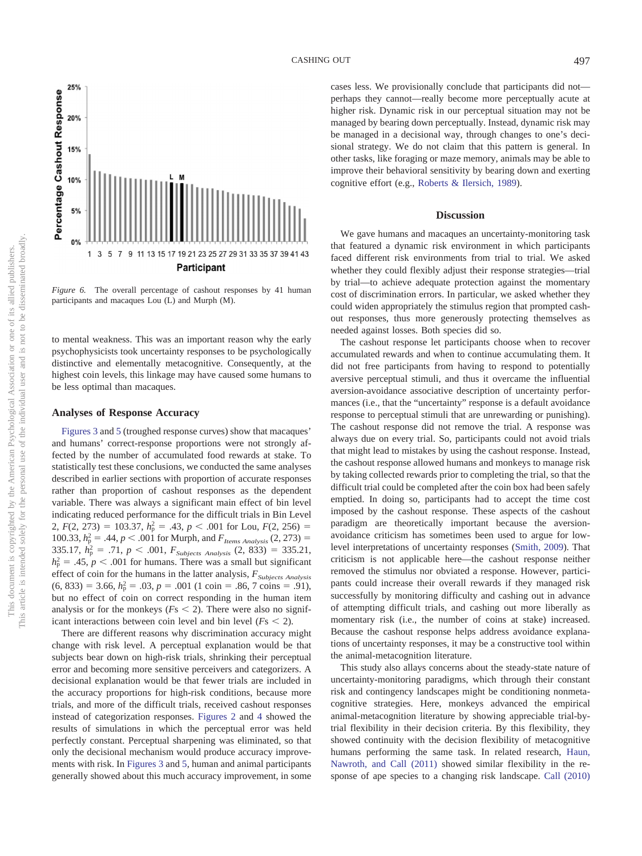

<span id="page-7-0"></span>*Figure 6.* The overall percentage of cashout responses by 41 human participants and macaques Lou (L) and Murph (M).

to mental weakness. This was an important reason why the early psychophysicists took uncertainty responses to be psychologically distinctive and elementally metacognitive. Consequently, at the highest coin levels, this linkage may have caused some humans to be less optimal than macaques.

#### **Analyses of Response Accuracy**

[Figures 3](#page-4-1) and [5](#page-5-0) (troughed response curves) show that macaques' and humans' correct-response proportions were not strongly affected by the number of accumulated food rewards at stake. To statistically test these conclusions, we conducted the same analyses described in earlier sections with proportion of accurate responses rather than proportion of cashout responses as the dependent variable. There was always a significant main effect of bin level indicating reduced performance for the difficult trials in Bin Level 2,  $F(2, 273) = 103.37$ ,  $h_p^2 = .43$ ,  $p < .001$  for Lou,  $F(2, 256) =$ 100.33,  $h_p^2 = .44$ ,  $p < .001$  for Murph, and  $F_{Items\ Analysis}$  (2, 273) = 335.17,  $h_p^2 = .71$ ,  $p < .001$ ,  $F_{\text{Subjects Analysis}}$  (2, 833) = 335.21,  $h_p^2 = .45$ ,  $p < .001$  for humans. There was a small but significant effect of coin for the humans in the latter analysis,  $F_{\textit{Subjects Analysis}}$  $(6, 833) = 3.66, h_p^2 = .03, p = .001$  (1 coin = .86, 7 coins = .91), but no effect of coin on correct responding in the human item analysis or for the monkeys ( $Fs < 2$ ). There were also no significant interactions between coin level and bin level  $(Fs \leq 2)$ .

There are different reasons why discrimination accuracy might change with risk level. A perceptual explanation would be that subjects bear down on high-risk trials, shrinking their perceptual error and becoming more sensitive perceivers and categorizers. A decisional explanation would be that fewer trials are included in the accuracy proportions for high-risk conditions, because more trials, and more of the difficult trials, received cashout responses instead of categorization responses. [Figures 2](#page-4-0) and [4](#page-4-2) showed the results of simulations in which the perceptual error was held perfectly constant. Perceptual sharpening was eliminated, so that only the decisional mechanism would produce accuracy improvements with risk. In [Figures 3](#page-4-1) and [5,](#page-5-0) human and animal participants generally showed about this much accuracy improvement, in some cases less. We provisionally conclude that participants did not perhaps they cannot—really become more perceptually acute at higher risk. Dynamic risk in our perceptual situation may not be managed by bearing down perceptually. Instead, dynamic risk may be managed in a decisional way, through changes to one's decisional strategy. We do not claim that this pattern is general. In other tasks, like foraging or maze memory, animals may be able to improve their behavioral sensitivity by bearing down and exerting cognitive effort (e.g., [Roberts & Ilersich, 1989\)](#page-10-37).

## **Discussion**

We gave humans and macaques an uncertainty-monitoring task that featured a dynamic risk environment in which participants faced different risk environments from trial to trial. We asked whether they could flexibly adjust their response strategies—trial by trial—to achieve adequate protection against the momentary cost of discrimination errors. In particular, we asked whether they could widen appropriately the stimulus region that prompted cashout responses, thus more generously protecting themselves as needed against losses. Both species did so.

The cashout response let participants choose when to recover accumulated rewards and when to continue accumulating them. It did not free participants from having to respond to potentially aversive perceptual stimuli, and thus it overcame the influential aversion-avoidance associative description of uncertainty performances (i.e., that the "uncertainty" response is a default avoidance response to perceptual stimuli that are unrewarding or punishing). The cashout response did not remove the trial. A response was always due on every trial. So, participants could not avoid trials that might lead to mistakes by using the cashout response. Instead, the cashout response allowed humans and monkeys to manage risk by taking collected rewards prior to completing the trial, so that the difficult trial could be completed after the coin box had been safely emptied. In doing so, participants had to accept the time cost imposed by the cashout response. These aspects of the cashout paradigm are theoretically important because the aversionavoidance criticism has sometimes been used to argue for lowlevel interpretations of uncertainty responses [\(Smith, 2009\)](#page-10-20). That criticism is not applicable here—the cashout response neither removed the stimulus nor obviated a response. However, participants could increase their overall rewards if they managed risk successfully by monitoring difficulty and cashing out in advance of attempting difficult trials, and cashing out more liberally as momentary risk (i.e., the number of coins at stake) increased. Because the cashout response helps address avoidance explanations of uncertainty responses, it may be a constructive tool within the animal-metacognition literature.

This study also allays concerns about the steady-state nature of uncertainty-monitoring paradigms, which through their constant risk and contingency landscapes might be conditioning nonmetacognitive strategies. Here, monkeys advanced the empirical animal-metacognition literature by showing appreciable trial-bytrial flexibility in their decision criteria. By this flexibility, they showed continuity with the decision flexibility of metacognitive humans performing the same task. In related research, [Haun,](#page-10-38) [Nawroth, and Call \(2011\)](#page-10-38) showed similar flexibility in the response of ape species to a changing risk landscape. [Call \(2010\)](#page-9-4)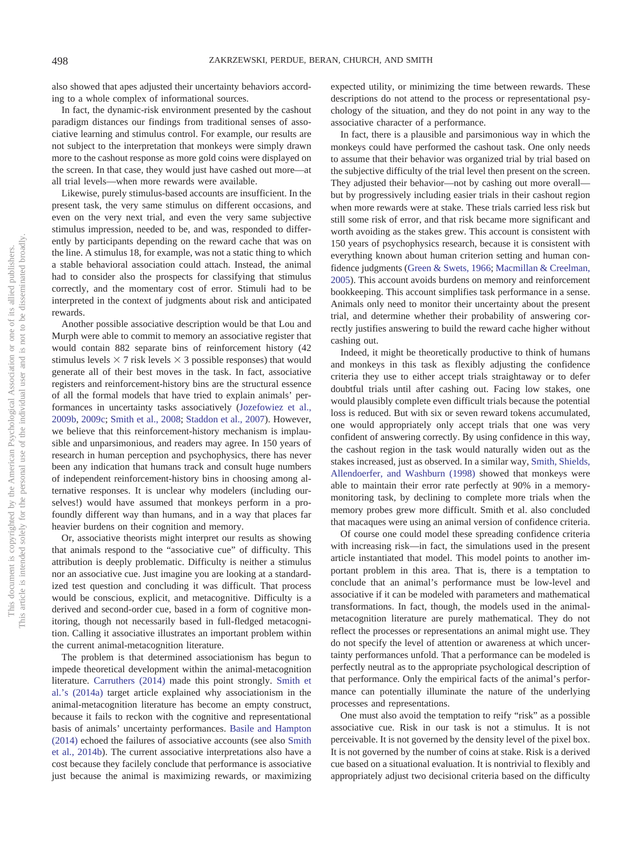also showed that apes adjusted their uncertainty behaviors according to a whole complex of informational sources.

In fact, the dynamic-risk environment presented by the cashout paradigm distances our findings from traditional senses of associative learning and stimulus control. For example, our results are not subject to the interpretation that monkeys were simply drawn more to the cashout response as more gold coins were displayed on the screen. In that case, they would just have cashed out more—at all trial levels—when more rewards were available.

Likewise, purely stimulus-based accounts are insufficient. In the present task, the very same stimulus on different occasions, and even on the very next trial, and even the very same subjective stimulus impression, needed to be, and was, responded to differently by participants depending on the reward cache that was on the line. A stimulus 18, for example, was not a static thing to which a stable behavioral association could attach. Instead, the animal had to consider also the prospects for classifying that stimulus correctly, and the momentary cost of error. Stimuli had to be interpreted in the context of judgments about risk and anticipated rewards.

Another possible associative description would be that Lou and Murph were able to commit to memory an associative register that would contain 882 separate bins of reinforcement history (42 stimulus levels  $\times$  7 risk levels  $\times$  3 possible responses) that would generate all of their best moves in the task. In fact, associative registers and reinforcement-history bins are the structural essence of all the formal models that have tried to explain animals' performances in uncertainty tasks associatively [\(Jozefowiez et al.,](#page-10-29) [2009b,](#page-10-29) [2009c;](#page-10-30) [Smith et al., 2008;](#page-10-22) [Staddon et al., 2007\)](#page-11-6). However, we believe that this reinforcement-history mechanism is implausible and unparsimonious, and readers may agree. In 150 years of research in human perception and psychophysics, there has never been any indication that humans track and consult huge numbers of independent reinforcement-history bins in choosing among alternative responses. It is unclear why modelers (including ourselves!) would have assumed that monkeys perform in a profoundly different way than humans, and in a way that places far heavier burdens on their cognition and memory.

Or, associative theorists might interpret our results as showing that animals respond to the "associative cue" of difficulty. This attribution is deeply problematic. Difficulty is neither a stimulus nor an associative cue. Just imagine you are looking at a standardized test question and concluding it was difficult. That process would be conscious, explicit, and metacognitive. Difficulty is a derived and second-order cue, based in a form of cognitive monitoring, though not necessarily based in full-fledged metacognition. Calling it associative illustrates an important problem within the current animal-metacognition literature.

The problem is that determined associationism has begun to impede theoretical development within the animal-metacognition literature. [Carruthers \(2014\)](#page-9-13) made this point strongly. [Smith et](#page-10-24) [al.'s \(2014a\)](#page-10-24) target article explained why associationism in the animal-metacognition literature has become an empty construct, because it fails to reckon with the cognitive and representational basis of animals' uncertainty performances. [Basile and Hampton](#page-9-14) [\(2014\)](#page-9-14) echoed the failures of associative accounts (see also [Smith](#page-11-4) [et al., 2014b\)](#page-11-4). The current associative interpretations also have a cost because they facilely conclude that performance is associative just because the animal is maximizing rewards, or maximizing

expected utility, or minimizing the time between rewards. These descriptions do not attend to the process or representational psychology of the situation, and they do not point in any way to the associative character of a performance.

In fact, there is a plausible and parsimonious way in which the monkeys could have performed the cashout task. One only needs to assume that their behavior was organized trial by trial based on the subjective difficulty of the trial level then present on the screen. They adjusted their behavior—not by cashing out more overall but by progressively including easier trials in their cashout region when more rewards were at stake. These trials carried less risk but still some risk of error, and that risk became more significant and worth avoiding as the stakes grew. This account is consistent with 150 years of psychophysics research, because it is consistent with everything known about human criterion setting and human confidence judgments [\(Green & Swets, 1966;](#page-10-34) [Macmillan & Creelman,](#page-10-35) [2005\)](#page-10-35). This account avoids burdens on memory and reinforcement bookkeeping. This account simplifies task performance in a sense. Animals only need to monitor their uncertainty about the present trial, and determine whether their probability of answering correctly justifies answering to build the reward cache higher without cashing out.

Indeed, it might be theoretically productive to think of humans and monkeys in this task as flexibly adjusting the confidence criteria they use to either accept trials straightaway or to defer doubtful trials until after cashing out. Facing low stakes, one would plausibly complete even difficult trials because the potential loss is reduced. But with six or seven reward tokens accumulated, one would appropriately only accept trials that one was very confident of answering correctly. By using confidence in this way, the cashout region in the task would naturally widen out as the stakes increased, just as observed. In a similar way, [Smith, Shields,](#page-11-10) [Allendoerfer, and Washburn \(1998\)](#page-11-10) showed that monkeys were able to maintain their error rate perfectly at 90% in a memorymonitoring task, by declining to complete more trials when the memory probes grew more difficult. Smith et al. also concluded that macaques were using an animal version of confidence criteria.

Of course one could model these spreading confidence criteria with increasing risk—in fact, the simulations used in the present article instantiated that model. This model points to another important problem in this area. That is, there is a temptation to conclude that an animal's performance must be low-level and associative if it can be modeled with parameters and mathematical transformations. In fact, though, the models used in the animalmetacognition literature are purely mathematical. They do not reflect the processes or representations an animal might use. They do not specify the level of attention or awareness at which uncertainty performances unfold. That a performance can be modeled is perfectly neutral as to the appropriate psychological description of that performance. Only the empirical facts of the animal's performance can potentially illuminate the nature of the underlying processes and representations.

One must also avoid the temptation to reify "risk" as a possible associative cue. Risk in our task is not a stimulus. It is not perceivable. It is not governed by the density level of the pixel box. It is not governed by the number of coins at stake. Risk is a derived cue based on a situational evaluation. It is nontrivial to flexibly and appropriately adjust two decisional criteria based on the difficulty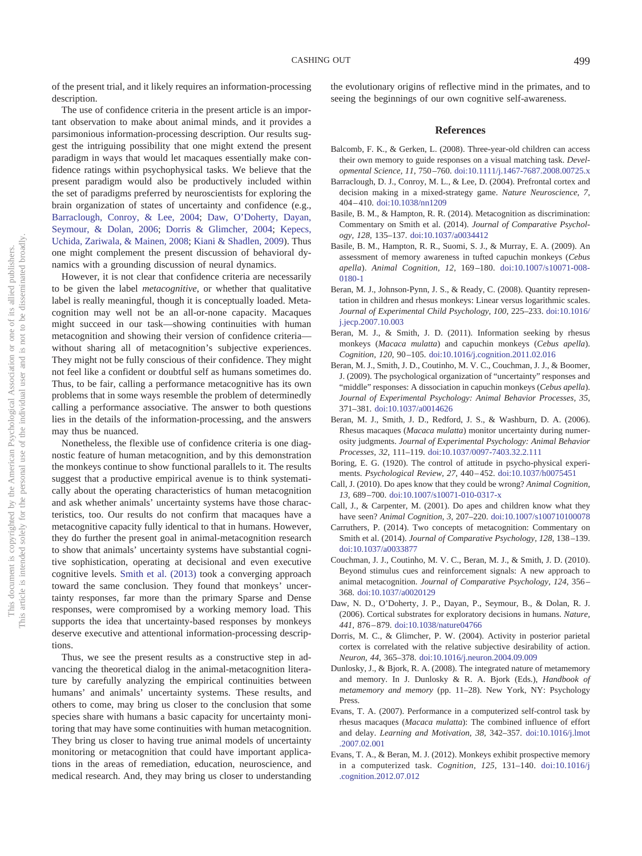of the present trial, and it likely requires an information-processing description.

The use of confidence criteria in the present article is an important observation to make about animal minds, and it provides a parsimonious information-processing description. Our results suggest the intriguing possibility that one might extend the present paradigm in ways that would let macaques essentially make confidence ratings within psychophysical tasks. We believe that the present paradigm would also be productively included within the set of paradigms preferred by neuroscientists for exploring the brain organization of states of uncertainty and confidence (e.g., [Barraclough, Conroy, & Lee, 2004;](#page-9-15) [Daw, O'Doherty, Dayan,](#page-9-16) [Seymour, & Dolan, 2006;](#page-9-16) [Dorris & Glimcher, 2004;](#page-9-17) [Kepecs,](#page-10-39) [Uchida, Zariwala, & Mainen, 2008;](#page-10-39) [Kiani & Shadlen, 2009\)](#page-10-40). Thus one might complement the present discussion of behavioral dynamics with a grounding discussion of neural dynamics.

However, it is not clear that confidence criteria are necessarily to be given the label *metacognitive*, or whether that qualitative label is really meaningful, though it is conceptually loaded. Metacognition may well not be an all-or-none capacity. Macaques might succeed in our task—showing continuities with human metacognition and showing their version of confidence criteria without sharing all of metacognition's subjective experiences. They might not be fully conscious of their confidence. They might not feel like a confident or doubtful self as humans sometimes do. Thus, to be fair, calling a performance metacognitive has its own problems that in some ways resemble the problem of determinedly calling a performance associative. The answer to both questions lies in the details of the information-processing, and the answers may thus be nuanced.

Nonetheless, the flexible use of confidence criteria is one diagnostic feature of human metacognition, and by this demonstration the monkeys continue to show functional parallels to it. The results suggest that a productive empirical avenue is to think systematically about the operating characteristics of human metacognition and ask whether animals' uncertainty systems have those characteristics, too. Our results do not confirm that macaques have a metacognitive capacity fully identical to that in humans. However, they do further the present goal in animal-metacognition research to show that animals' uncertainty systems have substantial cognitive sophistication, operating at decisional and even executive cognitive levels. [Smith et al. \(2013\)](#page-11-0) took a converging approach toward the same conclusion. They found that monkeys' uncertainty responses, far more than the primary Sparse and Dense responses, were compromised by a working memory load. This supports the idea that uncertainty-based responses by monkeys deserve executive and attentional information-processing descriptions.

Thus, we see the present results as a constructive step in advancing the theoretical dialog in the animal-metacognition literature by carefully analyzing the empirical continuities between humans' and animals' uncertainty systems. These results, and others to come, may bring us closer to the conclusion that some species share with humans a basic capacity for uncertainty monitoring that may have some continuities with human metacognition. They bring us closer to having true animal models of uncertainty monitoring or metacognition that could have important applications in the areas of remediation, education, neuroscience, and medical research. And, they may bring us closer to understanding

the evolutionary origins of reflective mind in the primates, and to seeing the beginnings of our own cognitive self-awareness.

#### **References**

- <span id="page-9-1"></span>Balcomb, F. K., & Gerken, L. (2008). Three-year-old children can access their own memory to guide responses on a visual matching task. *Developmental Science, 11,* 750 –760. [doi:10.1111/j.1467-7687.2008.00725.x](http://dx.doi.org/10.1111/j.1467-7687.2008.00725.x)
- <span id="page-9-15"></span>Barraclough, D. J., Conroy, M. L., & Lee, D. (2004). Prefrontal cortex and decision making in a mixed-strategy game. *Nature Neuroscience, 7,* 404 – 410. [doi:10.1038/nn1209](http://dx.doi.org/10.1038/nn1209)
- <span id="page-9-14"></span>Basile, B. M., & Hampton, R. R. (2014). Metacognition as discrimination: Commentary on Smith et al. (2014). *Journal of Comparative Psychology, 128,* 135–137. [doi:10.1037/a0034412](http://dx.doi.org/10.1037/a0034412)
- <span id="page-9-2"></span>Basile, B. M., Hampton, R. R., Suomi, S. J., & Murray, E. A. (2009). An assessment of memory awareness in tufted capuchin monkeys (*Cebus apella*). *Animal Cognition, 12,* 169 –180. [doi:10.1007/s10071-008-](http://dx.doi.org/10.1007/s10071-008-0180-1) [0180-1](http://dx.doi.org/10.1007/s10071-008-0180-1)
- <span id="page-9-8"></span>Beran, M. J., Johnson-Pynn, J. S., & Ready, C. (2008). Quantity representation in children and rhesus monkeys: Linear versus logarithmic scales. *Journal of Experimental Child Psychology, 100,* 225–233. [doi:10.1016/](http://dx.doi.org/10.1016/j.jecp.2007.10.003) [j.jecp.2007.10.003](http://dx.doi.org/10.1016/j.jecp.2007.10.003)
- <span id="page-9-11"></span>Beran, M. J., & Smith, J. D. (2011). Information seeking by rhesus monkeys (*Macaca mulatta*) and capuchin monkeys (*Cebus apella*). *Cognition, 120,* 90 –105. [doi:10.1016/j.cognition.2011.02.016](http://dx.doi.org/10.1016/j.cognition.2011.02.016)
- <span id="page-9-3"></span>Beran, M. J., Smith, J. D., Coutinho, M. V. C., Couchman, J. J., & Boomer, J. (2009). The psychological organization of "uncertainty" responses and "middle" responses: A dissociation in capuchin monkeys (*Cebus apella*). *Journal of Experimental Psychology: Animal Behavior Processes, 35,* 371–381. [doi:10.1037/a0014626](http://dx.doi.org/10.1037/a0014626)
- <span id="page-9-10"></span>Beran, M. J., Smith, J. D., Redford, J. S., & Washburn, D. A. (2006). Rhesus macaques (*Macaca mulatta*) monitor uncertainty during numerosity judgments. *Journal of Experimental Psychology: Animal Behavior Processes, 32,* 111–119. [doi:10.1037/0097-7403.32.2.111](http://dx.doi.org/10.1037/0097-7403.32.2.111)
- <span id="page-9-6"></span>Boring, E. G. (1920). The control of attitude in psycho-physical experiments. *Psychological Review, 27,* 440 – 452. [doi:10.1037/h0075451](http://dx.doi.org/10.1037/h0075451)
- <span id="page-9-4"></span>Call, J. (2010). Do apes know that they could be wrong? *Animal Cognition, 13,* 689 –700. [doi:10.1007/s10071-010-0317-x](http://dx.doi.org/10.1007/s10071-010-0317-x)
- <span id="page-9-5"></span>Call, J., & Carpenter, M. (2001). Do apes and children know what they have seen? *Animal Cognition, 3,* 207–220. [doi:10.1007/s100710100078](http://dx.doi.org/10.1007/s100710100078)
- <span id="page-9-13"></span>Carruthers, P. (2014). Two concepts of metacognition: Commentary on Smith et al. (2014). *Journal of Comparative Psychology, 128,* 138 –139. [doi:10.1037/a0033877](http://dx.doi.org/10.1037/a0033877)
- <span id="page-9-12"></span>Couchman, J. J., Coutinho, M. V. C., Beran, M. J., & Smith, J. D. (2010). Beyond stimulus cues and reinforcement signals: A new approach to animal metacognition. *Journal of Comparative Psychology, 124,* 356 – 368. [doi:10.1037/a0020129](http://dx.doi.org/10.1037/a0020129)
- <span id="page-9-16"></span>Daw, N. D., O'Doherty, J. P., Dayan, P., Seymour, B., & Dolan, R. J. (2006). Cortical substrates for exploratory decisions in humans. *Nature, 441,* 876 – 879. [doi:10.1038/nature04766](http://dx.doi.org/10.1038/nature04766)
- <span id="page-9-17"></span>Dorris, M. C., & Glimcher, P. W. (2004). Activity in posterior parietal cortex is correlated with the relative subjective desirability of action. *Neuron, 44,* 365–378. [doi:10.1016/j.neuron.2004.09.009](http://dx.doi.org/10.1016/j.neuron.2004.09.009)
- <span id="page-9-0"></span>Dunlosky, J., & Bjork, R. A. (2008). The integrated nature of metamemory and memory. In J. Dunlosky & R. A. Bjork (Eds.), *Handbook of metamemory and memory* (pp. 11–28). New York, NY: Psychology Press.
- <span id="page-9-7"></span>Evans, T. A. (2007). Performance in a computerized self-control task by rhesus macaques (*Macaca mulatta*): The combined influence of effort and delay. *Learning and Motivation, 38,* 342–357. [doi:10.1016/j.lmot](http://dx.doi.org/10.1016/j.lmot.2007.02.001) [.2007.02.001](http://dx.doi.org/10.1016/j.lmot.2007.02.001)
- <span id="page-9-9"></span>Evans, T. A., & Beran, M. J. (2012). Monkeys exhibit prospective memory in a computerized task. *Cognition, 125,* 131–140. [doi:10.1016/j](http://dx.doi.org/10.1016/j.cognition.2012.07.012) [.cognition.2012.07.012](http://dx.doi.org/10.1016/j.cognition.2012.07.012)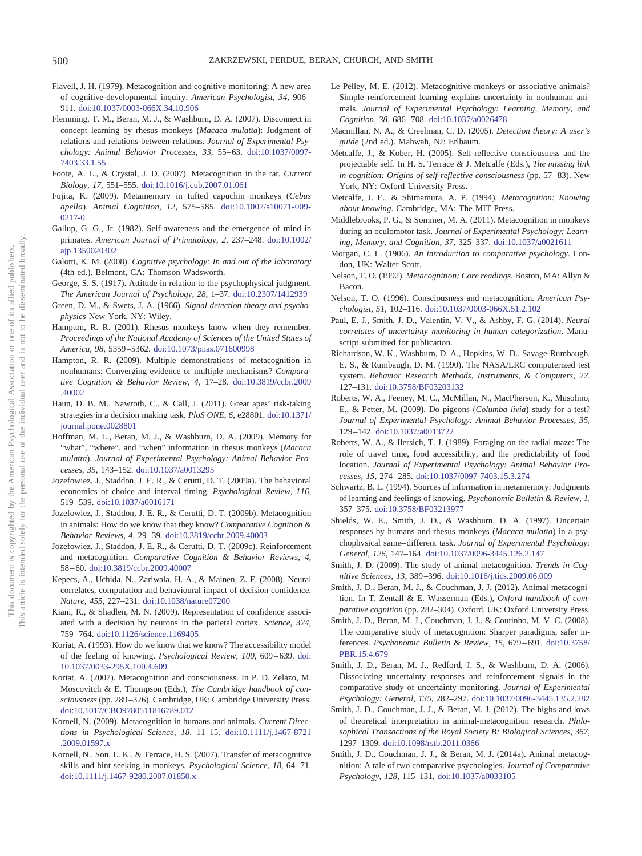- <span id="page-10-0"></span>Flavell, J. H. (1979). Metacognition and cognitive monitoring: A new area of cognitive-developmental inquiry. *American Psychologist, 34,* 906 – 911. [doi:10.1037/0003-066X.34.10.906](http://dx.doi.org/10.1037/0003-066X.34.10.906)
- <span id="page-10-31"></span>Flemming, T. M., Beran, M. J., & Washburn, D. A. (2007). Disconnect in concept learning by rhesus monkeys (*Macaca mulatta*): Judgment of relations and relations-between-relations. *Journal of Experimental Psychology: Animal Behavior Processes, 33,* 55– 63. [doi:10.1037/0097-](http://dx.doi.org/10.1037/0097-7403.33.1.55) [7403.33.1.55](http://dx.doi.org/10.1037/0097-7403.33.1.55)
- <span id="page-10-9"></span>Foote, A. L., & Crystal, J. D. (2007). Metacognition in the rat. *Current Biology, 17,* 551–555. [doi:10.1016/j.cub.2007.01.061](http://dx.doi.org/10.1016/j.cub.2007.01.061)
- <span id="page-10-10"></span>Fujita, K. (2009). Metamemory in tufted capuchin monkeys (*Cebus apella*). *Animal Cognition, 12,* 575–585. [doi:10.1007/s10071-009-](http://dx.doi.org/10.1007/s10071-009-0217-0) [0217-0](http://dx.doi.org/10.1007/s10071-009-0217-0)
- <span id="page-10-7"></span>Gallup, G. G., Jr. (1982). Self-awareness and the emergence of mind in primates. *American Journal of Primatology, 2,* 237–248. [doi:10.1002/](http://dx.doi.org/10.1002/ajp.1350020302) [ajp.1350020302](http://dx.doi.org/10.1002/ajp.1350020302)
- <span id="page-10-36"></span>Galotti, K. M. (2008). *Cognitive psychology: In and out of the laboratory* (4th ed.). Belmont, CA: Thomson Wadsworth.
- <span id="page-10-27"></span>George, S. S. (1917). Attitude in relation to the psychophysical judgment. *The American Journal of Psychology, 28,* 1–37. [doi:10.2307/1412939](http://dx.doi.org/10.2307/1412939)
- <span id="page-10-34"></span>Green, D. M., & Swets, J. A. (1966). *Signal detection theory and psychophysics* New York, NY: Wiley.
- <span id="page-10-11"></span>Hampton, R. R. (2001). Rhesus monkeys know when they remember. *Proceedings of the National Academy of Sciences of the United States of America, 98,* 5359 –5362. [doi:10.1073/pnas.071600998](http://dx.doi.org/10.1073/pnas.071600998)
- <span id="page-10-16"></span>Hampton, R. R. (2009). Multiple demonstrations of metacognition in nonhumans: Converging evidence or multiple mechanisms? *Comparative Cognition & Behavior Review, 4,* 17–28. [doi:10.3819/ccbr.2009](http://dx.doi.org/10.3819/ccbr.2009.40002) [.40002](http://dx.doi.org/10.3819/ccbr.2009.40002)
- <span id="page-10-38"></span>Haun, D. B. M., Nawroth, C., & Call, J. (2011). Great apes' risk-taking strategies in a decision making task. *PloS ONE, 6,* e28801. [doi:10.1371/](http://dx.doi.org/10.1371/journal.pone.0028801) [journal.pone.0028801](http://dx.doi.org/10.1371/journal.pone.0028801)
- <span id="page-10-32"></span>Hoffman, M. L., Beran, M. J., & Washburn, D. A. (2009). Memory for "what", "where", and "when" information in rhesus monkeys (*Macaca mulatta*). *Journal of Experimental Psychology: Animal Behavior Processes, 35,* 143–152. [doi:10.1037/a0013295](http://dx.doi.org/10.1037/a0013295)
- <span id="page-10-17"></span>Jozefowiez, J., Staddon, J. E. R., & Cerutti, D. T. (2009a). The behavioral economics of choice and interval timing. *Psychological Review, 116,* 519 –539. [doi:10.1037/a0016171](http://dx.doi.org/10.1037/a0016171)
- <span id="page-10-29"></span>Jozefowiez, J., Staddon, J. E. R., & Cerutti, D. T. (2009b). Metacognition in animals: How do we know that they know? *Comparative Cognition & Behavior Reviews, 4,* 29 –39. [doi:10.3819/ccbr.2009.40003](http://dx.doi.org/10.3819/ccbr.2009.40003)
- <span id="page-10-30"></span>Jozefowiez, J., Staddon, J. E. R., & Cerutti, D. T. (2009c). Reinforcement and metacognition. *Comparative Cognition & Behavior Reviews, 4,* 58 – 60. [doi:10.3819/ccbr.2009.40007](http://dx.doi.org/10.3819/ccbr.2009.40007)
- <span id="page-10-39"></span>Kepecs, A., Uchida, N., Zariwala, H. A., & Mainen, Z. F. (2008). Neural correlates, computation and behavioural impact of decision confidence. *Nature, 455,* 227–231. [doi:10.1038/nature07200](http://dx.doi.org/10.1038/nature07200)
- <span id="page-10-40"></span>Kiani, R., & Shadlen, M. N. (2009). Representation of confidence associated with a decision by neurons in the parietal cortex. *Science, 324,* 759 –764. [doi:10.1126/science.1169405](http://dx.doi.org/10.1126/science.1169405)
- <span id="page-10-1"></span>Koriat, A. (1993). How do we know that we know? The accessibility model of the feeling of knowing. *Psychological Review, 100,* 609 – 639. [doi:](http://dx.doi.org/10.1037/0033-295X.100.4.609) [10.1037/0033-295X.100.4.609](http://dx.doi.org/10.1037/0033-295X.100.4.609)
- <span id="page-10-5"></span>Koriat, A. (2007). Metacognition and consciousness. In P. D. Zelazo, M. Moscovitch & E. Thompson (Eds.), *The Cambridge handbook of consciousness* (pp. 289 –326). Cambridge, UK: Cambridge University Press. [doi:10.1017/CBO9780511816789.012](http://dx.doi.org/10.1017/CBO9780511816789.012)
- <span id="page-10-18"></span>Kornell, N. (2009). Metacognition in humans and animals. *Current Directions in Psychological Science, 18,* 11–15. [doi:10.1111/j.1467-8721](http://dx.doi.org/10.1111/j.1467-8721.2009.01597.x) [.2009.01597.x](http://dx.doi.org/10.1111/j.1467-8721.2009.01597.x)
- <span id="page-10-12"></span>Kornell, N., Son, L. K., & Terrace, H. S. (2007). Transfer of metacognitive skills and hint seeking in monkeys. *Psychological Science, 18,* 64 –71. [doi:10.1111/j.1467-9280.2007.01850.x](http://dx.doi.org/10.1111/j.1467-9280.2007.01850.x)
- <span id="page-10-19"></span>Le Pelley, M. E. (2012). Metacognitive monkeys or associative animals? Simple reinforcement learning explains uncertainty in nonhuman animals. *Journal of Experimental Psychology: Learning, Memory, and Cognition, 38,* 686 –708. [doi:10.1037/a0026478](http://dx.doi.org/10.1037/a0026478)
- <span id="page-10-35"></span>Macmillan, N. A., & Creelman, C. D. (2005). *Detection theory: A user's guide* (2nd ed.). Mahwah, NJ: Erlbaum.
- <span id="page-10-8"></span>Metcalfe, J., & Kober, H. (2005). Self-reflective consciousness and the projectable self. In H. S. Terrace & J. Metcalfe (Eds.), *The missing link in cognition: Origins of self-reflective consciousness* (pp. 57– 83). New York, NY: Oxford University Press.
- <span id="page-10-2"></span>Metcalfe, J. E., & Shimamura, A. P. (1994). *Metacognition: Knowing about knowing*. Cambridge, MA: The MIT Press.
- <span id="page-10-13"></span>Middlebrooks, P. G., & Sommer, M. A. (2011). Metacognition in monkeys during an oculomotor task. *Journal of Experimental Psychology: Learning, Memory, and Cognition, 37,* 325–337. [doi:10.1037/a0021611](http://dx.doi.org/10.1037/a0021611)
- <span id="page-10-15"></span>Morgan, C. L. (1906). *An introduction to comparative psychology*. London, UK: Walter Scott.
- <span id="page-10-3"></span>Nelson, T. O. (1992). *Metacognition: Core readings*. Boston, MA: Allyn & Bacon.
- <span id="page-10-6"></span>Nelson, T. O. (1996). Consciousness and metacognition. *American Psychologist, 51,* 102–116. [doi:10.1037/0003-066X.51.2.102](http://dx.doi.org/10.1037/0003-066X.51.2.102)
- <span id="page-10-28"></span>Paul, E. J., Smith, J. D., Valentin, V. V., & Ashby, F. G. (2014). *Neural correlates of uncertainty monitoring in human categorization*. Manuscript submitted for publication.
- <span id="page-10-33"></span>Richardson, W. K., Washburn, D. A., Hopkins, W. D., Savage-Rumbaugh, E. S., & Rumbaugh, D. M. (1990). The NASA/LRC computerized test system. *Behavior Research Methods, Instruments, & Computers, 22,* 127–131. [doi:10.3758/BF03203132](http://dx.doi.org/10.3758/BF03203132)
- <span id="page-10-14"></span>Roberts, W. A., Feeney, M. C., McMillan, N., MacPherson, K., Musolino, E., & Petter, M. (2009). Do pigeons (*Columba livia*) study for a test? *Journal of Experimental Psychology: Animal Behavior Processes, 35,* 129 –142. [doi:10.1037/a0013722](http://dx.doi.org/10.1037/a0013722)
- <span id="page-10-37"></span>Roberts, W. A., & Ilersich, T. J. (1989). Foraging on the radial maze: The role of travel time, food accessibility, and the predictability of food location. *Journal of Experimental Psychology: Animal Behavior Processes, 15,* 274 –285. [doi:10.1037/0097-7403.15.3.274](http://dx.doi.org/10.1037/0097-7403.15.3.274)
- <span id="page-10-4"></span>Schwartz, B. L. (1994). Sources of information in metamemory: Judgments of learning and feelings of knowing. *Psychonomic Bulletin & Review, 1,* 357–375. [doi:10.3758/BF03213977](http://dx.doi.org/10.3758/BF03213977)
- <span id="page-10-26"></span>Shields, W. E., Smith, J. D., & Washburn, D. A. (1997). Uncertain responses by humans and rhesus monkeys (*Macaca mulatta*) in a psychophysical same– different task. *Journal of Experimental Psychology: General, 126,* 147–164. [doi:10.1037/0096-3445.126.2.147](http://dx.doi.org/10.1037/0096-3445.126.2.147)
- <span id="page-10-20"></span>Smith, J. D. (2009). The study of animal metacognition. *Trends in Cognitive Sciences, 13,* 389 –396. [doi:10.1016/j.tics.2009.06.009](http://dx.doi.org/10.1016/j.tics.2009.06.009)
- <span id="page-10-21"></span>Smith, J. D., Beran, M. J., & Couchman, J. J. (2012). Animal metacognition. In T. Zentall & E. Wasserman (Eds.), *Oxford handbook of comparative cognition* (pp. 282–304). Oxford, UK: Oxford University Press.
- <span id="page-10-22"></span>Smith, J. D., Beran, M. J., Couchman, J. J., & Coutinho, M. V. C. (2008). The comparative study of metacognition: Sharper paradigms, safer inferences. *Psychonomic Bulletin & Review, 15,* 679 – 691. [doi:10.3758/](http://dx.doi.org/10.3758/PBR.15.4.679) [PBR.15.4.679](http://dx.doi.org/10.3758/PBR.15.4.679)
- <span id="page-10-25"></span>Smith, J. D., Beran, M. J., Redford, J. S., & Washburn, D. A. (2006). Dissociating uncertainty responses and reinforcement signals in the comparative study of uncertainty monitoring. *Journal of Experimental Psychology: General, 135,* 282–297. [doi:10.1037/0096-3445.135.2.282](http://dx.doi.org/10.1037/0096-3445.135.2.282)
- <span id="page-10-23"></span>Smith, J. D., Couchman, J. J., & Beran, M. J. (2012). The highs and lows of theoretical interpretation in animal-metacognition research. *Philosophical Transactions of the Royal Society B: Biological Sciences, 367,* 1297–1309. [doi:10.1098/rstb.2011.0366](http://dx.doi.org/10.1098/rstb.2011.0366)
- <span id="page-10-24"></span>Smith, J. D., Couchman, J. J., & Beran, M. J. (2014a). Animal metacognition: A tale of two comparative psychologies. *Journal of Comparative Psychology, 128,* 115–131. [doi:10.1037/a0033105](http://dx.doi.org/10.1037/a0033105)